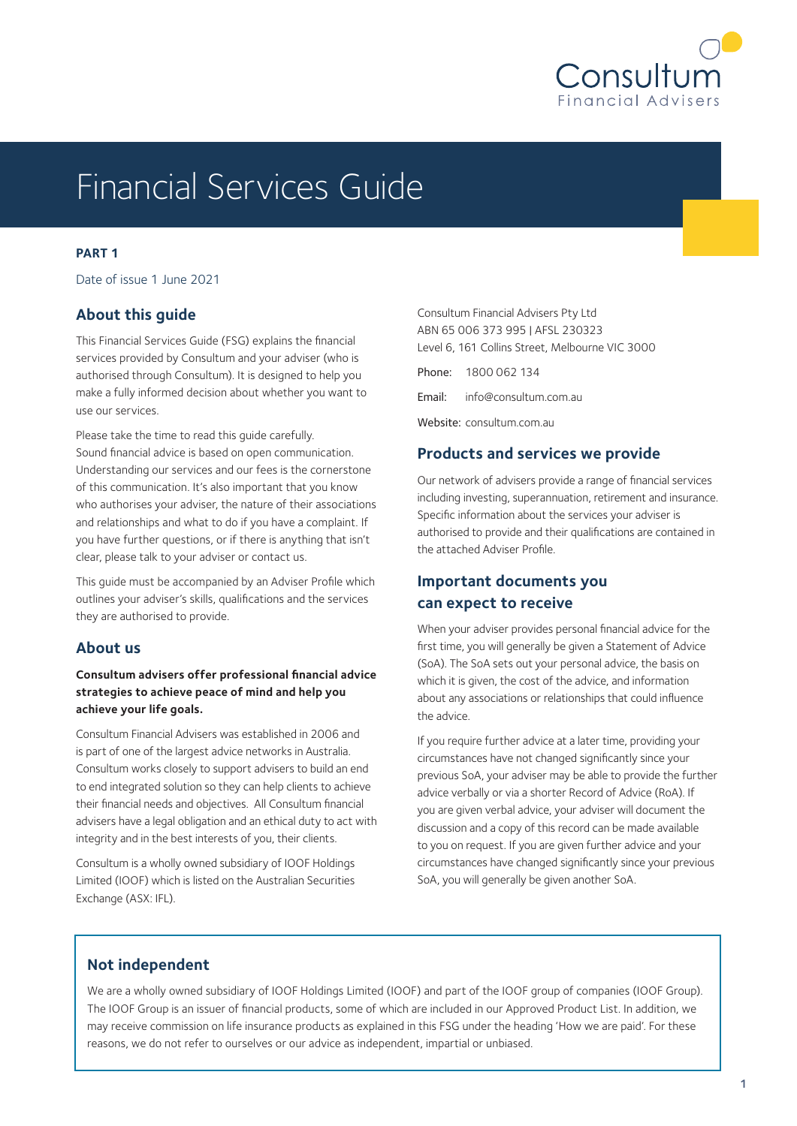

# Financial Services Guide

### **PART 1**

Date of issue 1 June 2021

# **About this guide**

This Financial Services Guide (FSG) explains the financial services provided by Consultum and your adviser (who is authorised through Consultum). It is designed to help you make a fully informed decision about whether you want to use our services.

Please take the time to read this guide carefully. Sound financial advice is based on open communication. Understanding our services and our fees is the cornerstone of this communication. It's also important that you know who authorises your adviser, the nature of their associations and relationships and what to do if you have a complaint. If you have further questions, or if there is anything that isn't clear, please talk to your adviser or contact us.

This guide must be accompanied by an Adviser Profile which outlines your adviser's skills, qualifications and the services they are authorised to provide.

# **About us**

**Consultum advisers offer professional financial advice strategies to achieve peace of mind and help you achieve your life goals.**

Consultum Financial Advisers was established in 2006 and is part of one of the largest advice networks in Australia. Consultum works closely to support advisers to build an end to end integrated solution so they can help clients to achieve their financial needs and objectives. All Consultum financial advisers have a legal obligation and an ethical duty to act with integrity and in the best interests of you, their clients.

Consultum is a wholly owned subsidiary of IOOF Holdings Limited (IOOF) which is listed on the Australian Securities Exchange (ASX: IFL).

| Consultum Financial Advisers Pty Ltd            |                              |  |  |
|-------------------------------------------------|------------------------------|--|--|
| ABN 65 006 373 995   AFSL 230323                |                              |  |  |
| Level 6, 161 Collins Street, Melbourne VIC 3000 |                              |  |  |
|                                                 | Phone: 1800 062 134          |  |  |
|                                                 | Email: info@consultum.com.au |  |  |
| Website: consultum.com.au                       |                              |  |  |

# **Products and services we provide**

Our network of advisers provide a range of financial services including investing, superannuation, retirement and insurance. Specific information about the services your adviser is authorised to provide and their qualifications are contained in the attached Adviser Profile.

# **Important documents you can expect to receive**

When your adviser provides personal financial advice for the first time, you will generally be given a Statement of Advice (SoA). The SoA sets out your personal advice, the basis on which it is given, the cost of the advice, and information about any associations or relationships that could influence the advice.

If you require further advice at a later time, providing your circumstances have not changed significantly since your previous SoA, your adviser may be able to provide the further advice verbally or via a shorter Record of Advice (RoA). If you are given verbal advice, your adviser will document the discussion and a copy of this record can be made available to you on request. If you are given further advice and your circumstances have changed significantly since your previous SoA, you will generally be given another SoA.

# **Not independent**

We are a wholly owned subsidiary of IOOF Holdings Limited (IOOF) and part of the IOOF group of companies (IOOF Group). The IOOF Group is an issuer of financial products, some of which are included in our Approved Product List. In addition, we may receive commission on life insurance products as explained in this FSG under the heading 'How we are paid'. For these reasons, we do not refer to ourselves or our advice as independent, impartial or unbiased.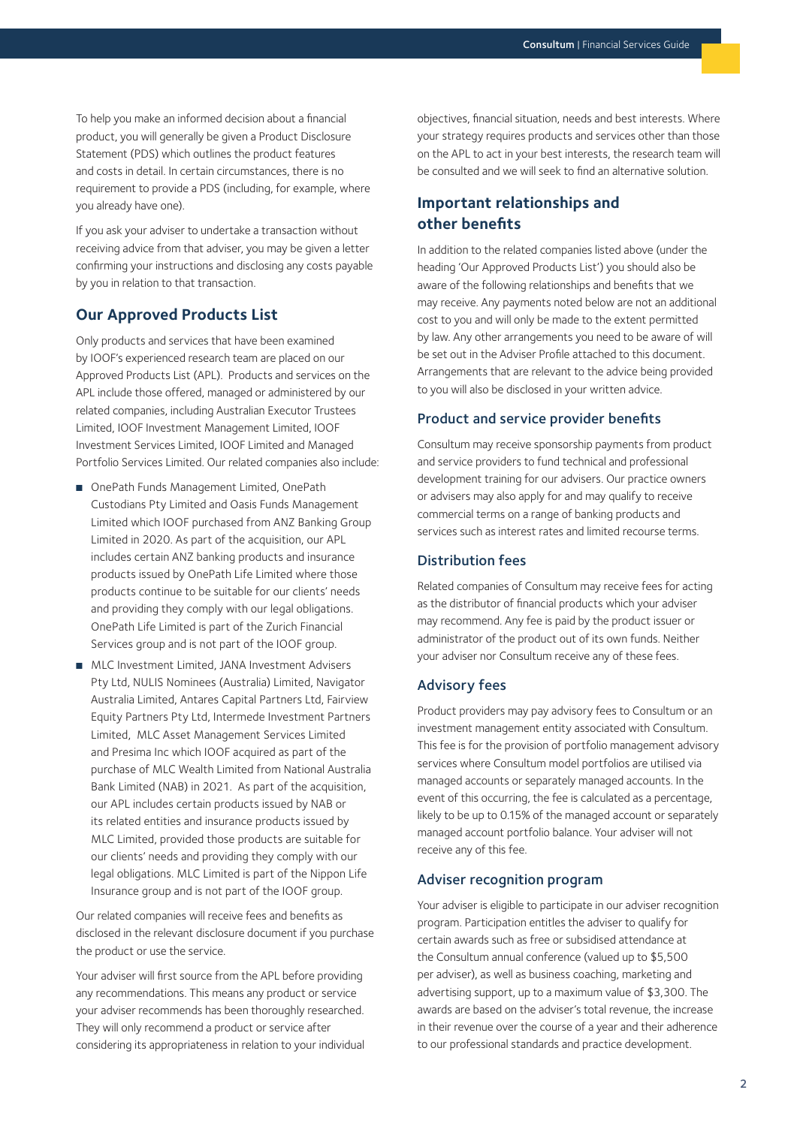To help you make an informed decision about a financial product, you will generally be given a Product Disclosure Statement (PDS) which outlines the product features and costs in detail. In certain circumstances, there is no requirement to provide a PDS (including, for example, where you already have one).

If you ask your adviser to undertake a transaction without receiving advice from that adviser, you may be given a letter confirming your instructions and disclosing any costs payable by you in relation to that transaction.

## **Our Approved Products List**

Only products and services that have been examined by IOOF's experienced research team are placed on our Approved Products List (APL). Products and services on the APL include those offered, managed or administered by our related companies, including Australian Executor Trustees Limited, IOOF Investment Management Limited, IOOF Investment Services Limited, IOOF Limited and Managed Portfolio Services Limited. Our related companies also include:

- OnePath Funds Management Limited, OnePath Custodians Pty Limited and Oasis Funds Management Limited which IOOF purchased from ANZ Banking Group Limited in 2020. As part of the acquisition, our APL includes certain ANZ banking products and insurance products issued by OnePath Life Limited where those products continue to be suitable for our clients' needs and providing they comply with our legal obligations. OnePath Life Limited is part of the Zurich Financial Services group and is not part of the IOOF group.
- MLC Investment Limited, JANA Investment Advisers Pty Ltd, NULIS Nominees (Australia) Limited, Navigator Australia Limited, Antares Capital Partners Ltd, Fairview Equity Partners Pty Ltd, Intermede Investment Partners Limited, MLC Asset Management Services Limited and Presima Inc which IOOF acquired as part of the purchase of MLC Wealth Limited from National Australia Bank Limited (NAB) in 2021. As part of the acquisition, our APL includes certain products issued by NAB or its related entities and insurance products issued by MLC Limited, provided those products are suitable for our clients' needs and providing they comply with our legal obligations. MLC Limited is part of the Nippon Life Insurance group and is not part of the IOOF group.

Our related companies will receive fees and benefits as disclosed in the relevant disclosure document if you purchase the product or use the service.

Your adviser will first source from the APL before providing any recommendations. This means any product or service your adviser recommends has been thoroughly researched. They will only recommend a product or service after considering its appropriateness in relation to your individual objectives, financial situation, needs and best interests. Where your strategy requires products and services other than those on the APL to act in your best interests, the research team will be consulted and we will seek to find an alternative solution.

# **Important relationships and other benefits**

In addition to the related companies listed above (under the heading 'Our Approved Products List') you should also be aware of the following relationships and benefits that we may receive. Any payments noted below are not an additional cost to you and will only be made to the extent permitted by law. Any other arrangements you need to be aware of will be set out in the Adviser Profile attached to this document. Arrangements that are relevant to the advice being provided to you will also be disclosed in your written advice.

## Product and service provider benefits

Consultum may receive sponsorship payments from product and service providers to fund technical and professional development training for our advisers. Our practice owners or advisers may also apply for and may qualify to receive commercial terms on a range of banking products and services such as interest rates and limited recourse terms.

#### Distribution fees

Related companies of Consultum may receive fees for acting as the distributor of financial products which your adviser may recommend. Any fee is paid by the product issuer or administrator of the product out of its own funds. Neither your adviser nor Consultum receive any of these fees.

#### Advisory fees

Product providers may pay advisory fees to Consultum or an investment management entity associated with Consultum. This fee is for the provision of portfolio management advisory services where Consultum model portfolios are utilised via managed accounts or separately managed accounts. In the event of this occurring, the fee is calculated as a percentage, likely to be up to 0.15% of the managed account or separately managed account portfolio balance. Your adviser will not receive any of this fee.

#### Adviser recognition program

Your adviser is eligible to participate in our adviser recognition program. Participation entitles the adviser to qualify for certain awards such as free or subsidised attendance at the Consultum annual conference (valued up to \$5,500 per adviser), as well as business coaching, marketing and advertising support, up to a maximum value of \$3,300. The awards are based on the adviser's total revenue, the increase in their revenue over the course of a year and their adherence to our professional standards and practice development.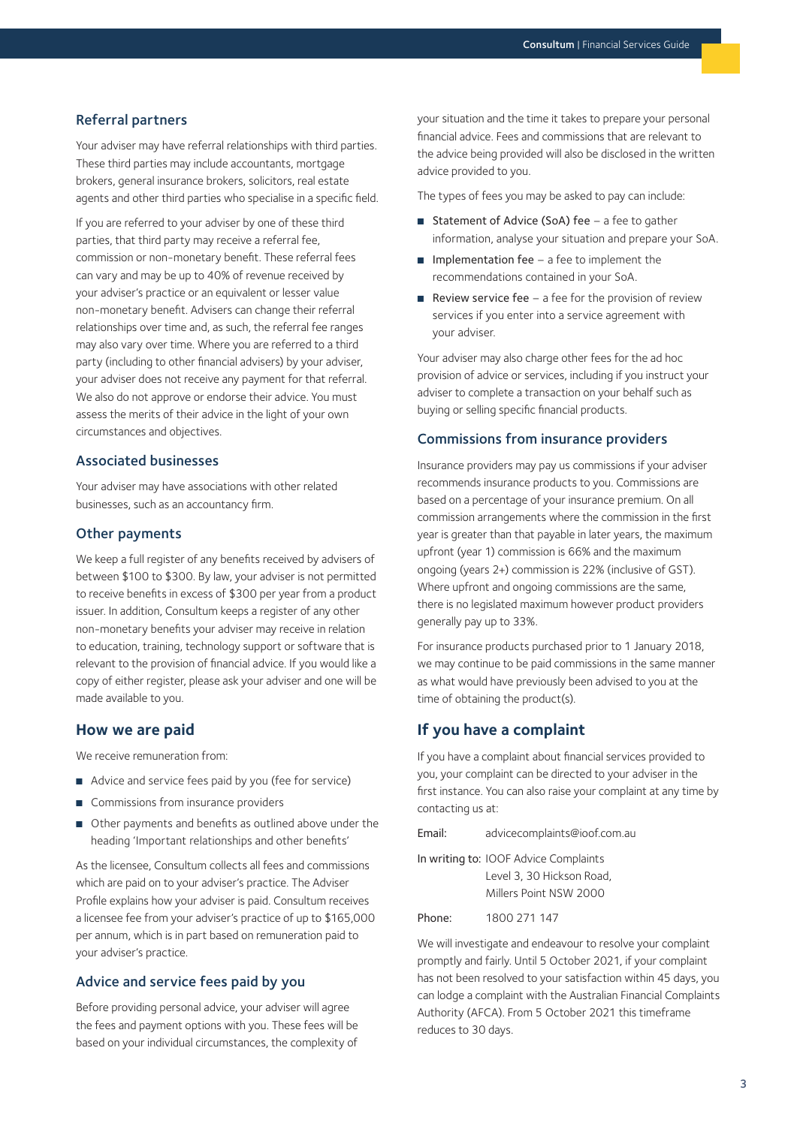#### Referral partners

Your adviser may have referral relationships with third parties. These third parties may include accountants, mortgage brokers, general insurance brokers, solicitors, real estate agents and other third parties who specialise in a specific field.

If you are referred to your adviser by one of these third parties, that third party may receive a referral fee, commission or non-monetary benefit. These referral fees can vary and may be up to 40% of revenue received by your adviser's practice or an equivalent or lesser value non-monetary benefit. Advisers can change their referral relationships over time and, as such, the referral fee ranges may also vary over time. Where you are referred to a third party (including to other financial advisers) by your adviser, your adviser does not receive any payment for that referral. We also do not approve or endorse their advice. You must assess the merits of their advice in the light of your own circumstances and objectives.

### Associated businesses

Your adviser may have associations with other related businesses, such as an accountancy firm.

#### Other payments

We keep a full register of any benefits received by advisers of between \$100 to \$300. By law, your adviser is not permitted to receive benefits in excess of \$300 per year from a product issuer. In addition, Consultum keeps a register of any other non-monetary benefits your adviser may receive in relation to education, training, technology support or software that is relevant to the provision of financial advice. If you would like a copy of either register, please ask your adviser and one will be made available to you.

#### **How we are paid**

We receive remuneration from:

- Advice and service fees paid by you (fee for service)
- Commissions from insurance providers
- Other payments and benefits as outlined above under the heading 'Important relationships and other benefits'

As the licensee, Consultum collects all fees and commissions which are paid on to your adviser's practice. The Adviser Profile explains how your adviser is paid. Consultum receives a licensee fee from your adviser's practice of up to \$165,000 per annum, which is in part based on remuneration paid to your adviser's practice.

#### Advice and service fees paid by you

Before providing personal advice, your adviser will agree the fees and payment options with you. These fees will be based on your individual circumstances, the complexity of

your situation and the time it takes to prepare your personal financial advice. Fees and commissions that are relevant to the advice being provided will also be disclosed in the written advice provided to you.

The types of fees you may be asked to pay can include:

- Statement of Advice (SoA) fee a fee to gather information, analyse your situation and prepare your SoA.
- Implementation fee a fee to implement the recommendations contained in your SoA.
- **Review service fee**  $-$  a fee for the provision of review services if you enter into a service agreement with your adviser.

Your adviser may also charge other fees for the ad hoc provision of advice or services, including if you instruct your adviser to complete a transaction on your behalf such as buying or selling specific financial products.

#### Commissions from insurance providers

Insurance providers may pay us commissions if your adviser recommends insurance products to you. Commissions are based on a percentage of your insurance premium. On all commission arrangements where the commission in the first year is greater than that payable in later years, the maximum upfront (year 1) commission is 66% and the maximum ongoing (years 2+) commission is 22% (inclusive of GST). Where upfront and ongoing commissions are the same, there is no legislated maximum however product providers generally pay up to 33%.

For insurance products purchased prior to 1 January 2018, we may continue to be paid commissions in the same manner as what would have previously been advised to you at the time of obtaining the product(s).

## **If you have a complaint**

If you have a complaint about financial services provided to you, your complaint can be directed to your adviser in the first instance. You can also raise your complaint at any time by contacting us at:

Email: advicecomplaints@ioof.com.au

In writing to: IOOF Advice Complaints Level 3, 30 Hickson Road, Millers Point NSW 2000

Phone: 1800 271 147

We will investigate and endeavour to resolve your complaint promptly and fairly. Until 5 October 2021, if your complaint has not been resolved to your satisfaction within 45 days, you can lodge a complaint with the Australian Financial Complaints Authority (AFCA). From 5 October 2021 this timeframe reduces to 30 days.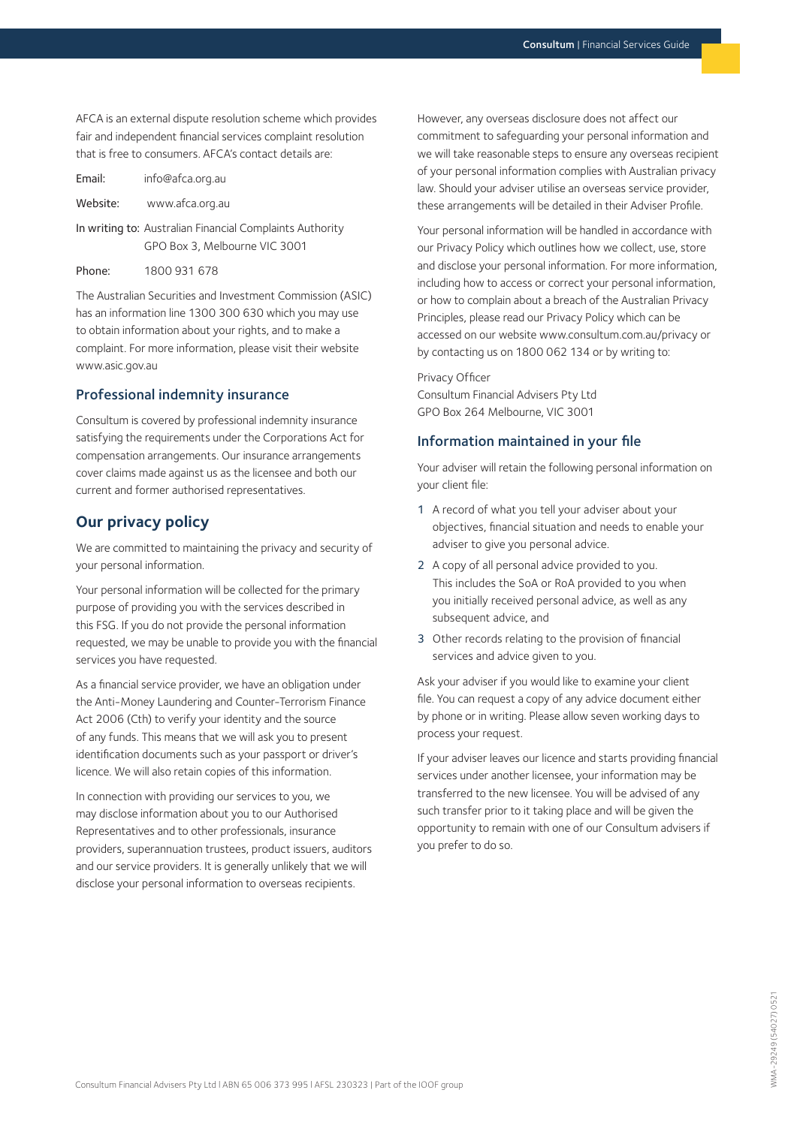AFCA is an external dispute resolution scheme which provides fair and independent financial services complaint resolution that is free to consumers. AFCA's contact details are:

| Email:   | info@afca.org.au                                                                          |
|----------|-------------------------------------------------------------------------------------------|
| Website: | www.afca.org.au                                                                           |
|          | In writing to: Australian Financial Complaints Authority<br>GPO Box 3, Melbourne VIC 3001 |

Phone: 1800 931 678

The Australian Securities and Investment Commission (ASIC) has an information line 1300 300 630 which you may use to obtain information about your rights, and to make a complaint. For more information, please visit their website www.asic.gov.au

#### Professional indemnity insurance

Consultum is covered by professional indemnity insurance satisfying the requirements under the Corporations Act for compensation arrangements. Our insurance arrangements cover claims made against us as the licensee and both our current and former authorised representatives.

# **Our privacy policy**

We are committed to maintaining the privacy and security of your personal information.

Your personal information will be collected for the primary purpose of providing you with the services described in this FSG. If you do not provide the personal information requested, we may be unable to provide you with the financial services you have requested.

As a financial service provider, we have an obligation under the Anti-Money Laundering and Counter-Terrorism Finance Act 2006 (Cth) to verify your identity and the source of any funds. This means that we will ask you to present identification documents such as your passport or driver's licence. We will also retain copies of this information.

In connection with providing our services to you, we may disclose information about you to our Authorised Representatives and to other professionals, insurance providers, superannuation trustees, product issuers, auditors and our service providers. It is generally unlikely that we will disclose your personal information to overseas recipients.

However, any overseas disclosure does not affect our commitment to safeguarding your personal information and we will take reasonable steps to ensure any overseas recipient of your personal information complies with Australian privacy law. Should your adviser utilise an overseas service provider, these arrangements will be detailed in their Adviser Profile.

Your personal information will be handled in accordance with our Privacy Policy which outlines how we collect, use, store and disclose your personal information. For more information, including how to access or correct your personal information, or how to complain about a breach of the Australian Privacy Principles, please read our Privacy Policy which can be accessed on our website www.consultum.com.au/privacy or by contacting us on 1800 062 134 or by writing to:

#### Privacy Officer

Consultum Financial Advisers Pty Ltd GPO Box 264 Melbourne, VIC 3001

#### Information maintained in your file

Your adviser will retain the following personal information on your client file:

- 1 A record of what you tell your adviser about your objectives, financial situation and needs to enable your adviser to give you personal advice.
- 2 A copy of all personal advice provided to you. This includes the SoA or RoA provided to you when you initially received personal advice, as well as any subsequent advice, and
- 3 Other records relating to the provision of financial services and advice given to you.

Ask your adviser if you would like to examine your client file. You can request a copy of any advice document either by phone or in writing. Please allow seven working days to process your request.

If your adviser leaves our licence and starts providing financial services under another licensee, your information may be transferred to the new licensee. You will be advised of any such transfer prior to it taking place and will be given the opportunity to remain with one of our Consultum advisers if you prefer to do so.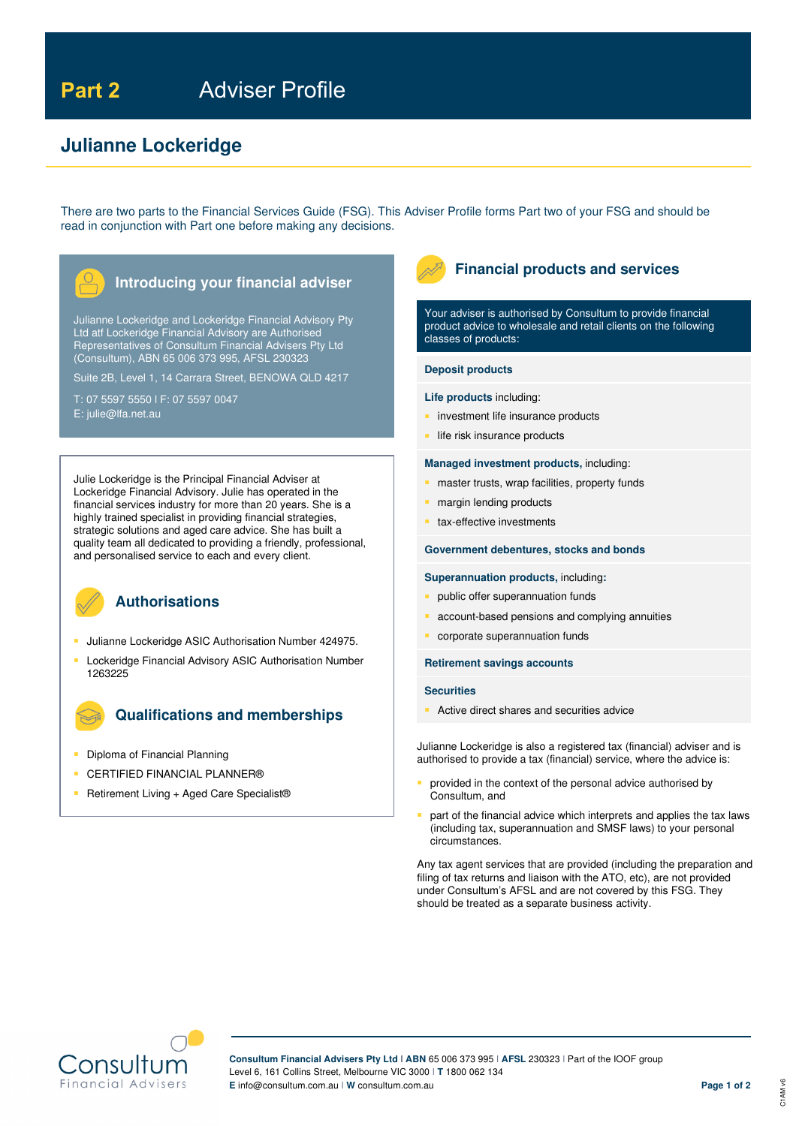# **Julianne Lockeridge**

There are two parts to the Financial Services Guide (FSG). This Adviser Profile forms Part two of your FSG and should be read in conjunction with Part one before making any decisions.



Julianne Lockeridge and Lockeridge Financial Advisory Pty Ltd atf Lockeridge Financial Advisory are Authorised Representatives of Consultum Financial Advisers Pty Ltd (Consultum), ABN 65 006 373 995, AFSL 230323

Suite 2B, Level 1, 14 Carrara Street, BENOWA QLD 4217

T: 07 5597 5550 l F: 07 5597 0047 E: julie@lfa.net.au

Julie Lockeridge is the Principal Financial Adviser at Lockeridge Financial Advisory. Julie has operated in the financial services industry for more than 20 years. She is a highly trained specialist in providing financial strategies, strategic solutions and aged care advice. She has built a quality team all dedicated to providing a friendly, professional, and personalised service to each and every client.



# **Authorisations**

- **Julianne Lockeridge ASIC Authorisation Number 424975.**
- Lockeridge Financial Advisory ASIC Authorisation Number 1263225

# **Qualifications and memberships**

- Diploma of Financial Planning
- **CERTIFIED FINANCIAL PLANNER®**
- Retirement Living + Aged Care Specialist®



# **Financial products and services**

Your adviser is authorised by Consultum to provide financial product advice to wholesale and retail clients on the following classes of products:

#### **Deposit products**

#### **Life products** including:

- investment life insurance products
- life risk insurance products

#### **Managed investment products,** including:

- master trusts, wrap facilities, property funds
- margin lending products
- tax-effective investments

#### **Government debentures, stocks and bonds**

#### **Superannuation products,** including**:**

- public offer superannuation funds
- account-based pensions and complying annuities
- corporate superannuation funds

#### **Retirement savings accounts**

#### **Securities**

Active direct shares and securities advice

Julianne Lockeridge is also a registered tax (financial) adviser and is authorised to provide a tax (financial) service, where the advice is:

- provided in the context of the personal advice authorised by Consultum, and
- part of the financial advice which interprets and applies the tax laws (including tax, superannuation and SMSF laws) to your personal circumstances.

Any tax agent services that are provided (including the preparation and filing of tax returns and liaison with the ATO, etc), are not provided under Consultum's AFSL and are not covered by this FSG. They should be treated as a separate business activity.



**Consultum Financial Advisers Pty Ltd I ABN** 65 006 373 995 I **AFSL** 230323 I Part of the IOOF group Level 6, 161 Collins Street, Melbourne VIC 3000 I **T** 1800 062 134 **E** info@consultum.com.au I **W** consultum.com.au